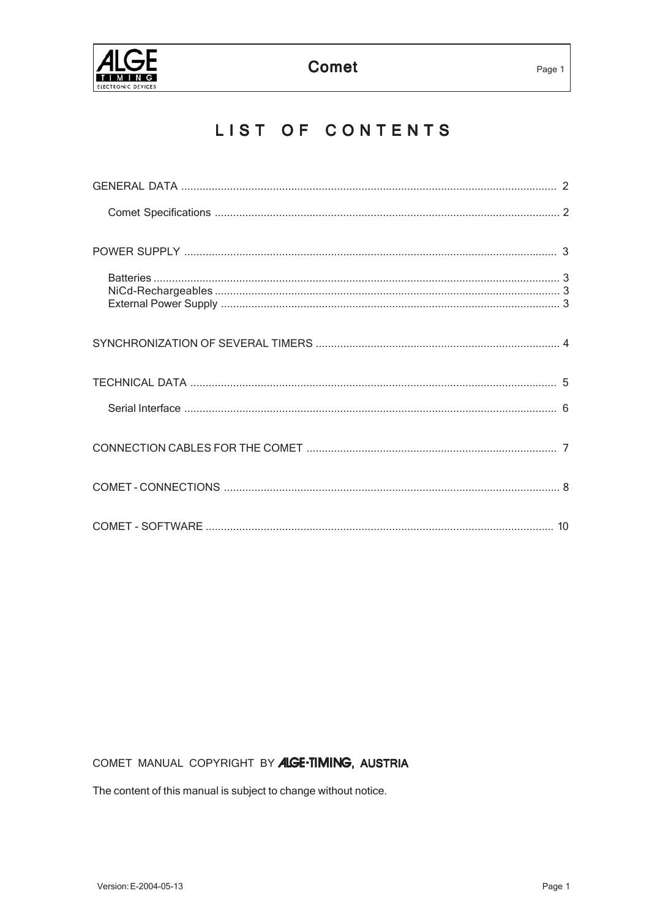

# LIST OF CONTENTS

# COMET MANUAL COPYRIGHT BY ALGE-TIMING, AUSTRIA

The content of this manual is subject to change without notice.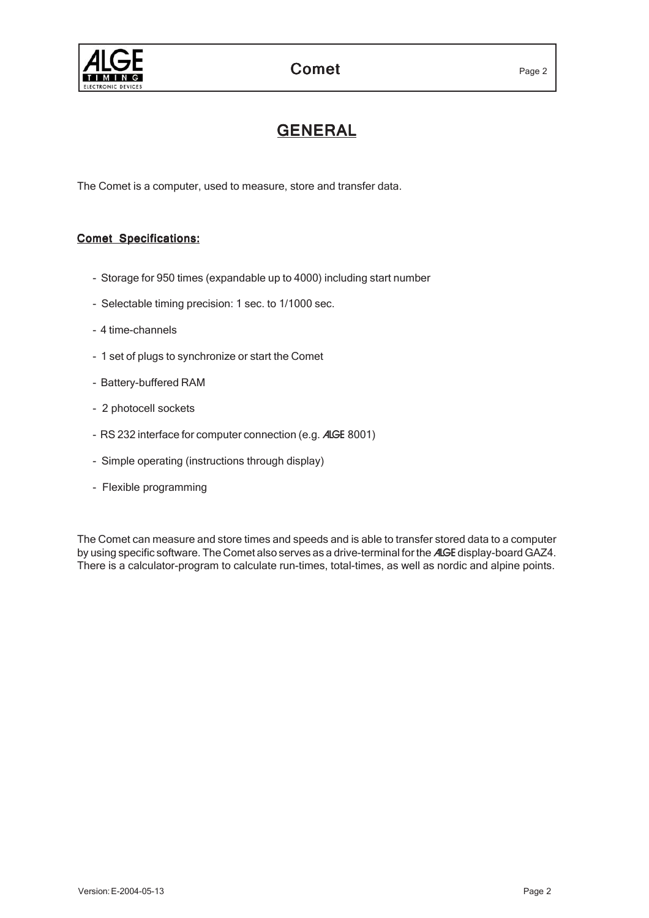

# GENERAL

The Comet is a computer, used to measure, store and transfer data.

# **Comet Specifications:**

- Storage for 950 times (expandable up to 4000) including start number
- Selectable timing precision: 1 sec. to 1/1000 sec.
- 4 time-channels
- 1 set of plugs to synchronize or start the Comet
- Battery-buffered RAM
- 2 photocell sockets
- RS 232 interface for computer connection (e.g. ALGE 8001)
- Simple operating (instructions through display)
- Flexible programming

The Comet can measure and store times and speeds and is able to transfer stored data to a computer by using specific software. The Comet also serves as a drive-terminal for the ALGE display-board GAZ4. There is a calculator-program to calculate run-times, total-times, as well as nordic and alpine points.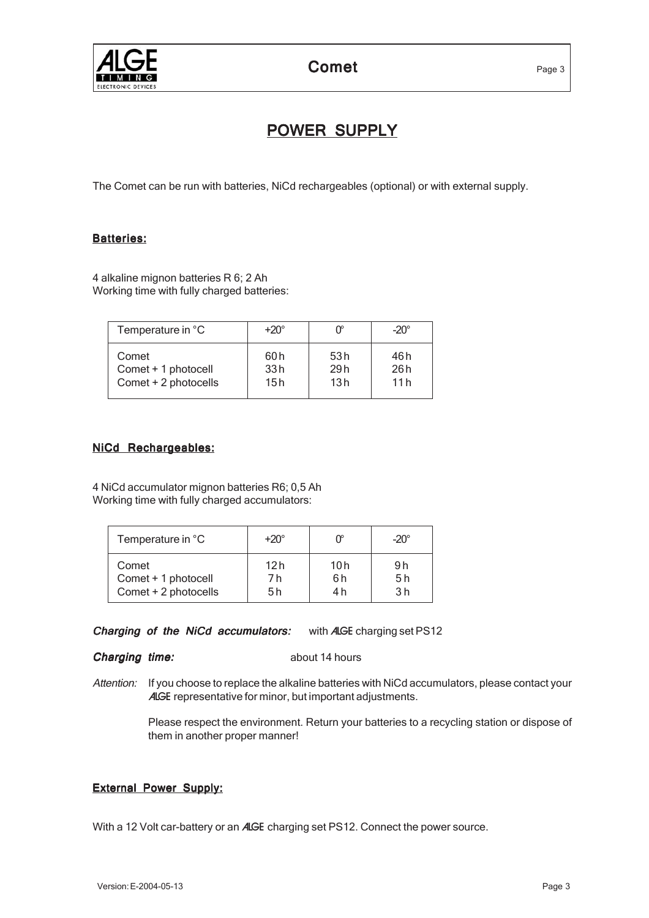

# POWER SUPPLY

The Comet can be run with batteries, NiCd rechargeables (optional) or with external supply.

# Batteries:

4 alkaline mignon batteries R 6; 2 Ah Working time with fully charged batteries:

| Temperature in °C    | $+20^\circ$ |      | $-20^\circ$ |
|----------------------|-------------|------|-------------|
| Comet                | 60 h        | 53 h | 46 h        |
| Comet + 1 photocell  | 33h         | 29h  | 26h         |
| Comet + 2 photocells | 15 h        | 13h  | 11h         |

# **NiCd Rechargeables:**

4 NiCd accumulator mignon batteries R6; 0,5 Ah Working time with fully charged accumulators:

| Temperature in °C    | $+20^\circ$ |     | $-20^\circ$    |
|----------------------|-------------|-----|----------------|
| Comet                | 12 h        | 10h | 9h             |
| Comet + 1 photocell  | 7 h         | 6h  | 5 h            |
| Comet + 2 photocells | 5 h         | 4 h | 3 <sub>h</sub> |

Charging of the NiCd accumulators: with ALGE charging set PS12

#### **Charging time:** about 14 hours

Attention: If you choose to replace the alkaline batteries with NiCd accumulators, please contact your ALGE representative for minor, but important adjustments.

> Please respect the environment. Return your batteries to a recycling station or dispose of them in another proper manner!

# External Power Supply:

With a 12 Volt car-battery or an ALGE charging set PS12. Connect the power source.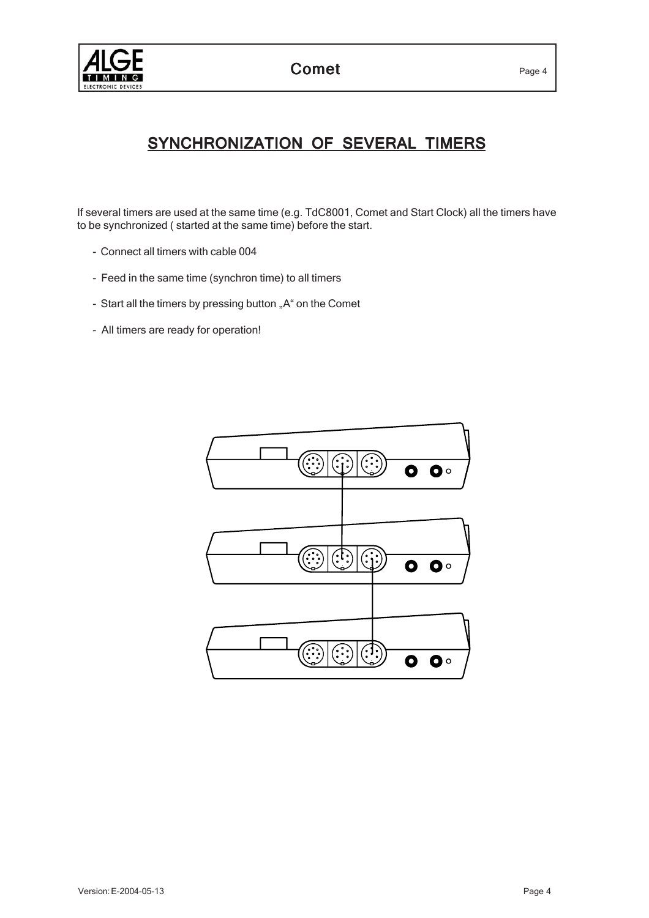



# SYNCHRONIZATION OF SEVERAL TIMERS

If several timers are used at the same time (e.g. TdC8001, Comet and Start Clock) all the timers have to be synchronized ( started at the same time) before the start.

- Connect all timers with cable 004
- Feed in the same time (synchron time) to all timers
- Start all the timers by pressing button "A" on the Comet
- All timers are ready for operation!

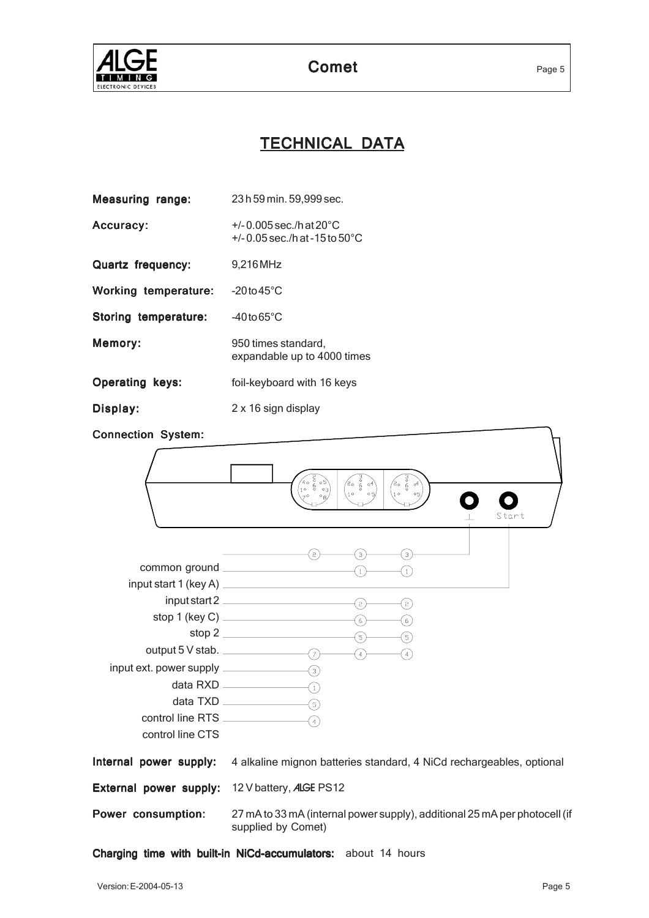

# TECHNICAL DATA

| <b>Measuring range:</b>     | 23 h 59 min. 59,999 sec.                                                         |
|-----------------------------|----------------------------------------------------------------------------------|
| Accuracy:                   | +/-0.005 sec./h at $20^{\circ}$ C<br>$+/- 0.05$ sec./h at -15 to 50 $^{\circ}$ C |
| <b>Quartz frequency:</b>    | 9,216 MHz                                                                        |
| <b>Working temperature:</b> | $-20$ to $45^{\circ}$ C                                                          |
| Storing temperature:        | $-40$ to 65 $^{\circ}$ C                                                         |
| <b>Memory:</b>              | 950 times standard,<br>expandable up to 4000 times                               |
| <b>Operating keys:</b>      | foil-keyboard with 16 keys                                                       |
| Display:                    | 2 x 16 sign display                                                              |

Connection System:

| Connection System:                                   |                                                                                                                                                                                                                                                           |
|------------------------------------------------------|-----------------------------------------------------------------------------------------------------------------------------------------------------------------------------------------------------------------------------------------------------------|
|                                                      | $\begin{pmatrix} 2 & 3 & 3 \ 4 & 6 & 6 \ 1 & 6 & 0 \end{pmatrix}$<br>$r_{\rm e}$<br>$\check{6}$ o <sup>4</sup><br>2ه<br>10 <sup>°</sup><br>$\circ$ 1)<br>$\circ$ 5<br>05 <sub>1</sub><br>Start                                                            |
| control line RTS _______________<br>control line CTS | $\mathcal{L}_{3}$<br>$\left($ з $\right)$<br>common ground $\frac{1}{1}$<br>input start 2 $\qquad \qquad (2)$<br>$\mathbf{F}(\mathbf{z})$<br>stop 1 (key C) $(6)$<br>ြ)<br>stop 2 $\qquad \qquad \qquad (5)$<br>(5)<br>$\bigcirc$<br>(4)<br>$\widehat{A}$ |
| Internal power supply:                               | 4 alkaline mignon batteries standard, 4 NiCd rechargeables, optional                                                                                                                                                                                      |
| External power supply:                               | 12 V battery, ALGE PS12                                                                                                                                                                                                                                   |
| Power consumption:                                   | 27 mA to 33 mA (internal power supply), additional 25 mA per photocell (if<br>supplied by Comet)                                                                                                                                                          |

Charging time with built-in NiCd-accumulators: about 14 hours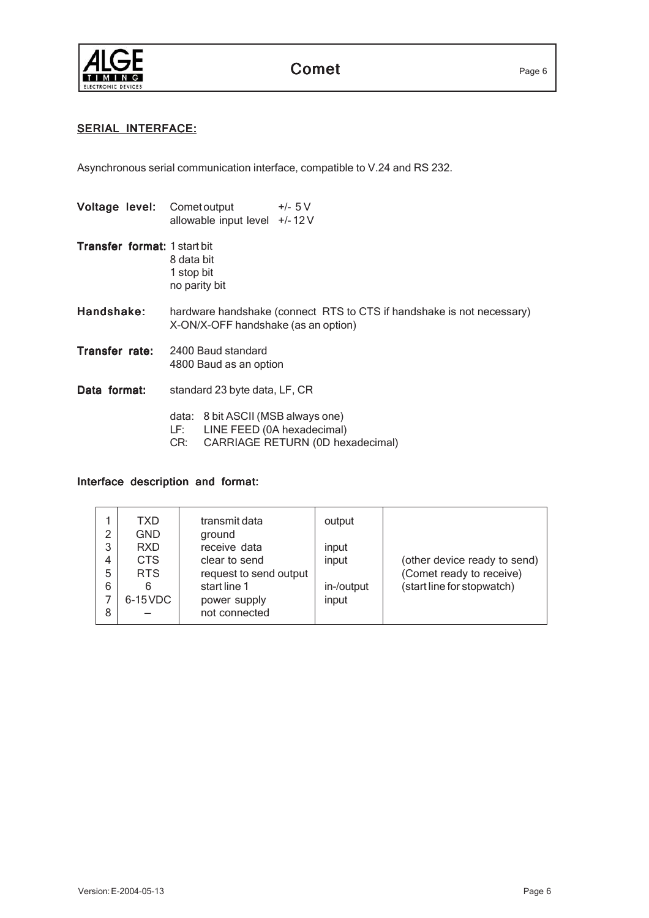

# Comet Page 6

# SERIAL INTERFACE:

Asynchronous serial communication interface, compatible to V.24 and RS 232.

| Voltage level:               | $+/- 5V$<br>Comet output<br>allowable input level +/-12V                                                             |  |
|------------------------------|----------------------------------------------------------------------------------------------------------------------|--|
| Transfer format: 1 start bit | 8 data bit<br>1 stop bit<br>no parity bit                                                                            |  |
| Handshake:                   | hardware handshake (connect RTS to CTS if handshake is not necessary)<br>X-ON/X-OFF handshake (as an option)         |  |
| Transfer rate:               | 2400 Baud standard<br>4800 Baud as an option                                                                         |  |
| Data format:                 | standard 23 byte data, LF, CR                                                                                        |  |
|                              | data: 8 bit ASCII (MSB always one)<br>LINE FEED (0A hexadecimal)<br>LF: I<br>CARRIAGE RETURN (0D hexadecimal)<br>CR: |  |

## Interface description and format:

| 2 | TXD<br><b>GND</b> | transmit data<br>ground | output     |                              |
|---|-------------------|-------------------------|------------|------------------------------|
|   |                   |                         |            |                              |
| 3 | <b>RXD</b>        | receive data            | input      |                              |
| 4 | <b>CTS</b>        | clear to send           | input      | (other device ready to send) |
| 5 | <b>RTS</b>        | request to send output  |            | (Comet ready to receive)     |
| 6 | 6                 | start line 1            | in-/output | (start line for stopwatch)   |
| 7 | $6-15$ VDC        | power supply            | input      |                              |
| 8 |                   | not connected           |            |                              |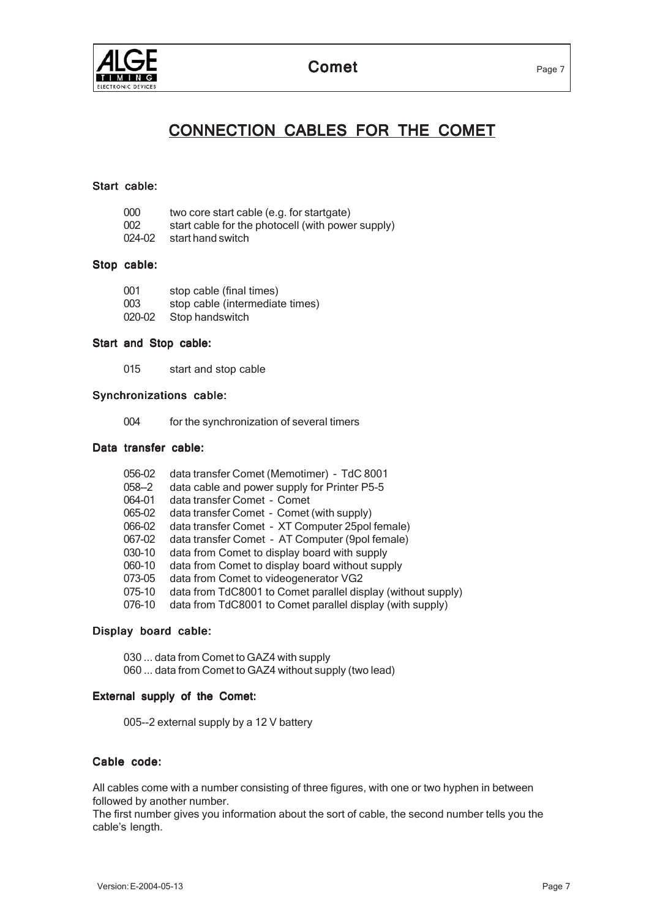

# CONNECTION CABLES FOR THE COMET

## Start cable:

| 000    | two core start cable (e.g. for startgate)         |
|--------|---------------------------------------------------|
| 002    | start cable for the photocell (with power supply) |
| 024-02 | start hand switch                                 |

## Stop cable:

| 001    | stop cable (final times)        |
|--------|---------------------------------|
| 003    | stop cable (intermediate times) |
| 020-02 | Stop handswitch                 |

#### Start and Stop cable:

015 start and stop cable

## Synchronizations cable:

004 for the synchronization of several timers

# Data transfer cable:

| 056-02    | data transfer Comet (Memotimer) - TdC 8001                   |
|-----------|--------------------------------------------------------------|
| $058 - 2$ | data cable and power supply for Printer P5-5                 |
| 064-01    | data transfer Comet - Comet                                  |
| 065-02    | data transfer Comet - Comet (with supply)                    |
| 066-02    | data transfer Comet - XT Computer 25pol female)              |
| 067-02    | data transfer Comet - AT Computer (9pol female)              |
| 030-10    | data from Comet to display board with supply                 |
| 060-10    | data from Comet to display board without supply              |
| 073-05    | data from Comet to videogenerator VG2                        |
| 075-10    | data from TdC8001 to Comet parallel display (without supply) |
| 076-10    | data from TdC8001 to Comet parallel display (with supply)    |

#### Display board cable:

030 ... data from Comet to GAZ4 with supply 060 ... data from Comet to GAZ4 without supply (two lead)

## External supply of the Comet:

005--2 external supply by a 12 V battery

# Cable code:

All cables come with a number consisting of three figures, with one or two hyphen in between followed by another number.

The first number gives you information about the sort of cable, the second number tells you the cable's length.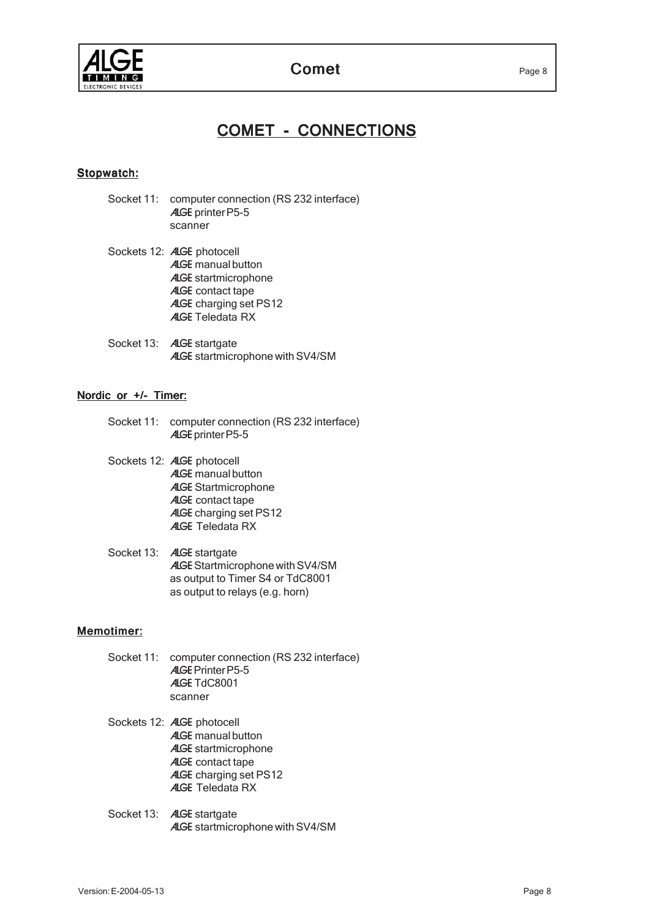

# COMET - CONNECTIONS

# Stopwatch:

- Socket 11: computer connection (RS 232 interface) ALGE printer P5-5 scanner
- Sockets 12: ALGE photocell ALGE manual button ALGE startmicrophone ALGE contact tape ALGE charging set PS12 ALGE Teledata RX
- Socket 13: **ALGE** startgate ALGE startmicrophone with SV4/SM

## Nordic or +/- Timer:

- Socket 11: computer connection (RS 232 interface) ALGE printer P5-5
- Sockets 12: ALGE photocell ALGE manual button ALGE Startmicrophone ALGE contact tape ALGE charging set PS12 ALGE Teledata RX
- Socket 13: **ALGE** startgate ALGE Startmicrophone with SV4/SM as output to Timer S4 or TdC8001 as output to relays (e.g. horn)

# Memotimer:

- Socket 11: computer connection (RS 232 interface) ALGE Printer P5-5 ALGE TdC8001 scanner
- Sockets 12: ALGE photocell ALGE manual button ALGE startmicrophone ALGE contact tape ALGE charging set PS12 ALGE Teledata RX
- Socket 13: **ALGE** startgate ALGE startmicrophone with SV4/SM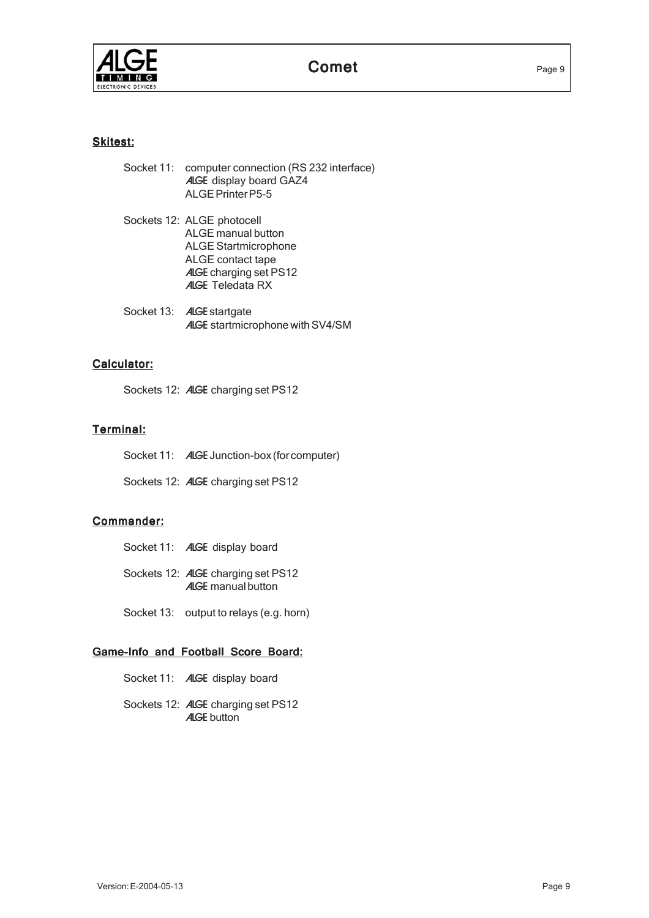

# Skitest:

| Socket 11: computer connection (RS 232 interface) |
|---------------------------------------------------|
| <b>ALGE</b> display board GAZ4                    |
| ALGE Printer P5-5                                 |

- Sockets 12: ALGE photocell ALGE manual button ALGE Startmicrophone ALGE contact tape ALGE charging set PS12 ALGE Teledata RX
- Socket 13: **ALGE** startgate ALGE startmicrophone with SV4/SM

# Calculator:

Sockets 12: ALGE charging set PS12

# Terminal:

Socket 11: **ALGE** Junction-box (for computer)

Sockets 12: ALGE charging set PS12

# Commander:

- Socket 11: **ALGE** display board
- Sockets 12: ALGE charging set PS12 ALGE manual button
- Socket 13: output to relays (e.g. horn)

## Game-Info and Football Score Board:

- Socket 11: **ALGE** display board
- Sockets 12: ALGE charging set PS12 **ALGE** button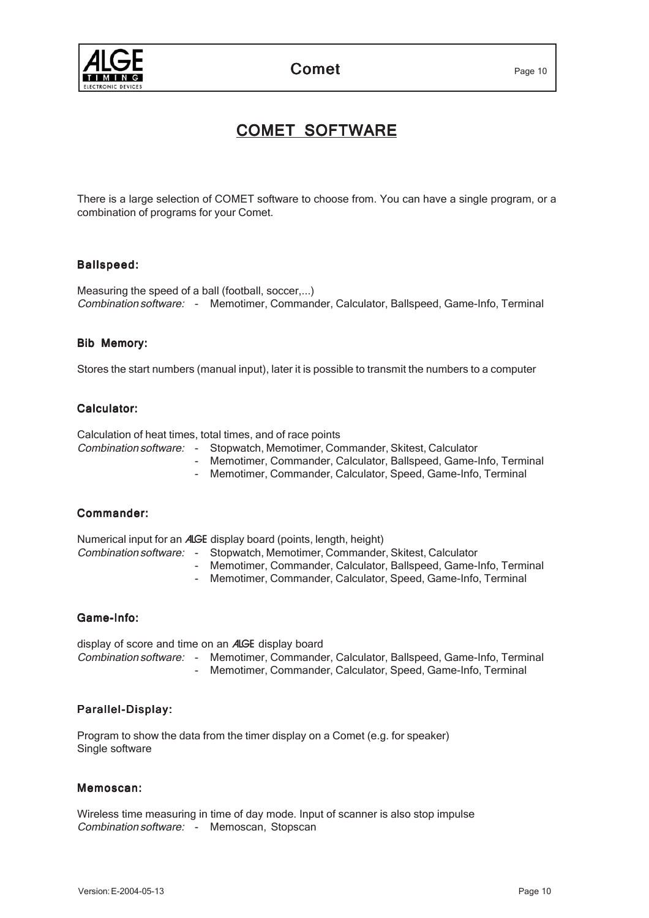

Comet Page 10

# COMET SOFTWARE

There is a large selection of COMET software to choose from. You can have a single program, or a combination of programs for your Comet.

# Ballspeed:

Measuring the speed of a ball (football, soccer,...) Combination software: - Memotimer, Commander, Calculator, Ballspeed, Game-Info, Terminal

### Bib Memory:

Stores the start numbers (manual input), later it is possible to transmit the numbers to a computer

# Calculator:

Calculation of heat times, total times, and of race points

- Combination software: Stopwatch, Memotimer, Commander, Skitest, Calculator - Memotimer, Commander, Calculator, Ballspeed, Game-Info, Terminal
	- Memotimer, Commander, Calculator, Speed, Game-Info, Terminal

#### Commander:

Numerical input for an ALGE display board (points, length, height)

- Combination software: Stopwatch, Memotimer, Commander, Skitest, Calculator
	- Memotimer, Commander, Calculator, Ballspeed, Game-Info, Terminal
		- Memotimer, Commander, Calculator, Speed, Game-Info, Terminal

#### Game-Info:

display of score and time on an ALGE display board Combination software: - Memotimer, Commander, Calculator, Ballspeed, Game-Info, Terminal Memotimer, Commander, Calculator, Speed, Game-Info, Terminal

# Parallel-Display:

Program to show the data from the timer display on a Comet (e.g. for speaker) Single software

#### Memoscan:

Wireless time measuring in time of day mode. Input of scanner is also stop impulse Combination software: - Memoscan, Stopscan